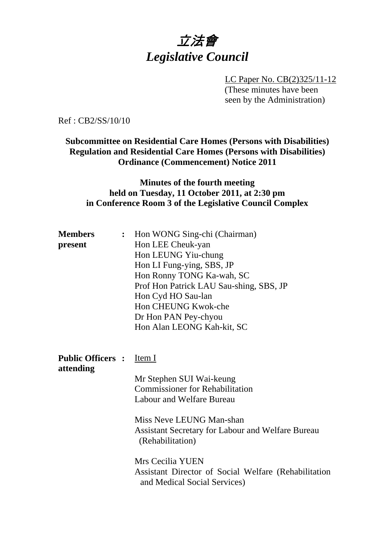

LC Paper No. CB(2)325/11-12 (These minutes have been seen by the Administration)

Ref : CB2/SS/10/10

#### **Subcommittee on Residential Care Homes (Persons with Disabilities) Regulation and Residential Care Homes (Persons with Disabilities) Ordinance (Commencement) Notice 2011**

#### **Minutes of the fourth meeting held on Tuesday, 11 October 2011, at 2:30 pm in Conference Room 3 of the Legislative Council Complex**

| <b>Members</b>                 | : Hon WONG Sing-chi (Chairman)                           |  |  |
|--------------------------------|----------------------------------------------------------|--|--|
| present                        | Hon LEE Cheuk-yan                                        |  |  |
|                                | Hon LEUNG Yiu-chung                                      |  |  |
|                                | Hon LI Fung-ying, SBS, JP                                |  |  |
|                                | Hon Ronny TONG Ka-wah, SC                                |  |  |
|                                | Prof Hon Patrick LAU Sau-shing, SBS, JP                  |  |  |
|                                | Hon Cyd HO Sau-lan                                       |  |  |
|                                | Hon CHEUNG Kwok-che                                      |  |  |
|                                | Dr Hon PAN Pey-chyou                                     |  |  |
|                                | Hon Alan LEONG Kah-kit, SC                               |  |  |
|                                |                                                          |  |  |
|                                |                                                          |  |  |
| <b>Public Officers:</b> Item I |                                                          |  |  |
| attending                      |                                                          |  |  |
|                                | Mr Stephen SUI Wai-keung                                 |  |  |
|                                | <b>Commissioner for Rehabilitation</b>                   |  |  |
|                                | Labour and Welfare Bureau                                |  |  |
|                                |                                                          |  |  |
|                                | Miss Neve LEUNG Man-shan                                 |  |  |
|                                | <b>Assistant Secretary for Labour and Welfare Bureau</b> |  |  |
|                                |                                                          |  |  |
|                                | (Rehabilitation)                                         |  |  |

Mrs Cecilia YUEN Assistant Director of Social Welfare (Rehabilitation and Medical Social Services)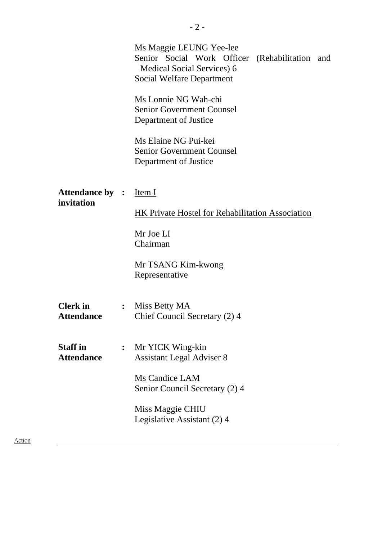|                                      |                | Ms Maggie LEUNG Yee-lee<br>Senior Social Work Officer (Rehabilitation and<br>Medical Social Services) 6<br>Social Welfare Department |  |
|--------------------------------------|----------------|--------------------------------------------------------------------------------------------------------------------------------------|--|
|                                      |                | Ms Lonnie NG Wah-chi<br><b>Senior Government Counsel</b><br>Department of Justice                                                    |  |
|                                      |                | Ms Elaine NG Pui-kei<br><b>Senior Government Counsel</b><br>Department of Justice                                                    |  |
| <b>Attendance by :</b><br>invitation |                | Item I<br><b>HK Private Hostel for Rehabilitation Association</b>                                                                    |  |
|                                      |                | Mr Joe LI<br>Chairman                                                                                                                |  |
|                                      |                | Mr TSANG Kim-kwong<br>Representative                                                                                                 |  |
| <b>Clerk</b> in<br><b>Attendance</b> | $\ddot{\cdot}$ | Miss Betty MA<br>Chief Council Secretary (2) 4                                                                                       |  |
| <b>Staff</b> in<br><b>Attendance</b> |                | Mr YICK Wing-kin<br><b>Assistant Legal Adviser 8</b>                                                                                 |  |
|                                      |                | Ms Candice LAM<br>Senior Council Secretary (2) 4                                                                                     |  |
|                                      |                | Miss Maggie CHIU<br>Legislative Assistant (2) 4                                                                                      |  |
|                                      |                |                                                                                                                                      |  |

Action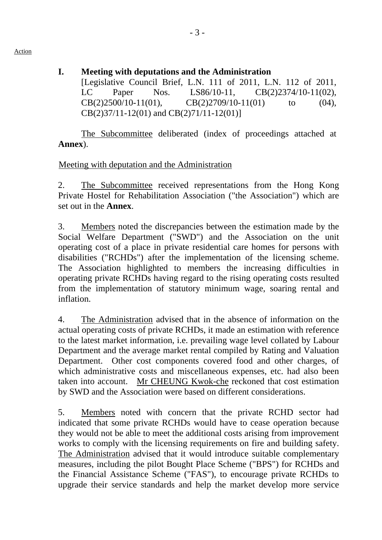- Action
- **I. Meeting with deputations and the Administration**

[Legislative Council Brief, L.N. 111 of 2011, L.N. 112 of 2011, LC Paper Nos. LS86/10-11, CB(2)2374/10-11(02),  $CB(2)2500/10-11(01)$ ,  $CB(2)2709/10-11(01)$  to (04), CB(2)37/11-12(01) and CB(2)71/11-12(01)]

The Subcommittee deliberated (index of proceedings attached at **Annex**).

# Meeting with deputation and the Administration

2. The Subcommittee received representations from the Hong Kong Private Hostel for Rehabilitation Association ("the Association") which are set out in the **Annex**.

3. Members noted the discrepancies between the estimation made by the Social Welfare Department ("SWD") and the Association on the unit operating cost of a place in private residential care homes for persons with disabilities ("RCHDs") after the implementation of the licensing scheme. The Association highlighted to members the increasing difficulties in operating private RCHDs having regard to the rising operating costs resulted from the implementation of statutory minimum wage, soaring rental and inflation.

4. The Administration advised that in the absence of information on the actual operating costs of private RCHDs, it made an estimation with reference to the latest market information, i.e. prevailing wage level collated by Labour Department and the average market rental compiled by Rating and Valuation Department. Other cost components covered food and other charges, of which administrative costs and miscellaneous expenses, etc. had also been taken into account. Mr CHEUNG Kwok-che reckoned that cost estimation by SWD and the Association were based on different considerations.

5. Members noted with concern that the private RCHD sector had indicated that some private RCHDs would have to cease operation because they would not be able to meet the additional costs arising from improvement works to comply with the licensing requirements on fire and building safety. The Administration advised that it would introduce suitable complementary measures, including the pilot Bought Place Scheme ("BPS") for RCHDs and the Financial Assistance Scheme ("FAS"), to encourage private RCHDs to upgrade their service standards and help the market develop more service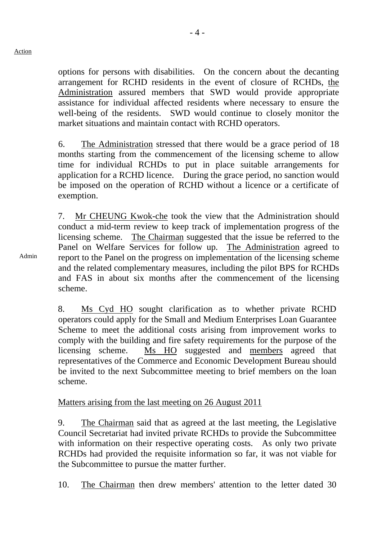options for persons with disabilities. On the concern about the decanting arrangement for RCHD residents in the event of closure of RCHDs, the Administration assured members that SWD would provide appropriate assistance for individual affected residents where necessary to ensure the well-being of the residents. SWD would continue to closely monitor the market situations and maintain contact with RCHD operators.

6. The Administration stressed that there would be a grace period of 18 months starting from the commencement of the licensing scheme to allow time for individual RCHDs to put in place suitable arrangements for application for a RCHD licence. During the grace period, no sanction would be imposed on the operation of RCHD without a licence or a certificate of exemption.

7. Mr CHEUNG Kwok-che took the view that the Administration should conduct a mid-term review to keep track of implementation progress of the licensing scheme. The Chairman suggested that the issue be referred to the Panel on Welfare Services for follow up. The Administration agreed to report to the Panel on the progress on implementation of the licensing scheme and the related complementary measures, including the pilot BPS for RCHDs and FAS in about six months after the commencement of the licensing scheme.

8. Ms Cyd HO sought clarification as to whether private RCHD operators could apply for the Small and Medium Enterprises Loan Guarantee Scheme to meet the additional costs arising from improvement works to comply with the building and fire safety requirements for the purpose of the licensing scheme. Ms HO suggested and members agreed that representatives of the Commerce and Economic Development Bureau should be invited to the next Subcommittee meeting to brief members on the loan scheme.

#### Matters arising from the last meeting on 26 August 2011

9. The Chairman said that as agreed at the last meeting, the Legislative Council Secretariat had invited private RCHDs to provide the Subcommittee with information on their respective operating costs. As only two private RCHDs had provided the requisite information so far, it was not viable for the Subcommittee to pursue the matter further.

10. The Chairman then drew members' attention to the letter dated 30

Admin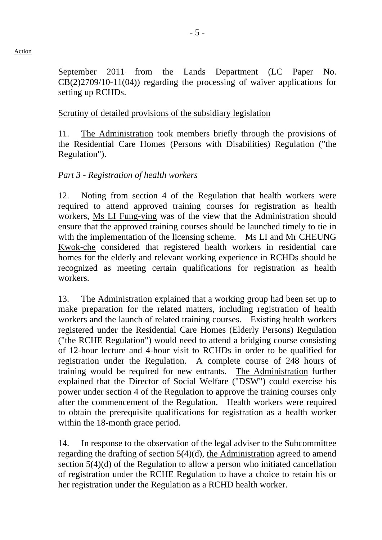- 5 -

September 2011 from the Lands Department (LC Paper No. CB(2)2709/10-11(04)) regarding the processing of waiver applications for setting up RCHDs.

### Scrutiny of detailed provisions of the subsidiary legislation

11. The Administration took members briefly through the provisions of the Residential Care Homes (Persons with Disabilities) Regulation ("the Regulation").

# *Part 3 - Registration of health workers*

12. Noting from section 4 of the Regulation that health workers were required to attend approved training courses for registration as health workers, Ms LI Fung-ying was of the view that the Administration should ensure that the approved training courses should be launched timely to tie in with the implementation of the licensing scheme. Ms LI and Mr CHEUNG Kwok-che considered that registered health workers in residential care homes for the elderly and relevant working experience in RCHDs should be recognized as meeting certain qualifications for registration as health workers.

13. The Administration explained that a working group had been set up to make preparation for the related matters, including registration of health workers and the launch of related training courses. Existing health workers registered under the Residential Care Homes (Elderly Persons) Regulation ("the RCHE Regulation") would need to attend a bridging course consisting of 12-hour lecture and 4-hour visit to RCHDs in order to be qualified for registration under the Regulation. A complete course of 248 hours of training would be required for new entrants. The Administration further explained that the Director of Social Welfare ("DSW") could exercise his power under section 4 of the Regulation to approve the training courses only after the commencement of the Regulation. Health workers were required to obtain the prerequisite qualifications for registration as a health worker within the 18-month grace period.

14. In response to the observation of the legal adviser to the Subcommittee regarding the drafting of section 5(4)(d), the Administration agreed to amend section 5(4)(d) of the Regulation to allow a person who initiated cancellation of registration under the RCHE Regulation to have a choice to retain his or her registration under the Regulation as a RCHD health worker.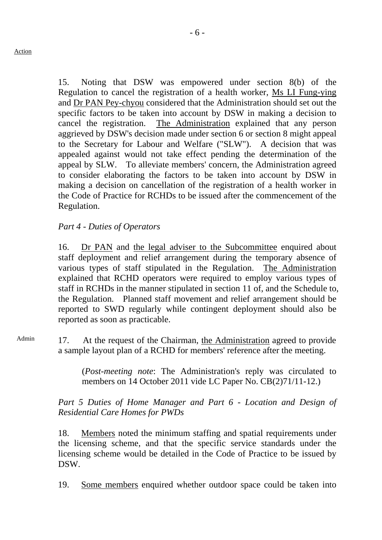15. Noting that DSW was empowered under section 8(b) of the Regulation to cancel the registration of a health worker, Ms LI Fung-ying and Dr PAN Pey-chyou considered that the Administration should set out the specific factors to be taken into account by DSW in making a decision to cancel the registration. The Administration explained that any person aggrieved by DSW's decision made under section 6 or section 8 might appeal to the Secretary for Labour and Welfare ("SLW"). A decision that was appealed against would not take effect pending the determination of the appeal by SLW. To alleviate members' concern, the Administration agreed to consider elaborating the factors to be taken into account by DSW in making a decision on cancellation of the registration of a health worker in the Code of Practice for RCHDs to be issued after the commencement of the Regulation.

# *Part 4 - Duties of Operators*

16. Dr PAN and the legal adviser to the Subcommittee enquired about staff deployment and relief arrangement during the temporary absence of various types of staff stipulated in the Regulation. The Administration explained that RCHD operators were required to employ various types of staff in RCHDs in the manner stipulated in section 11 of, and the Schedule to, the Regulation. Planned staff movement and relief arrangement should be reported to SWD regularly while contingent deployment should also be reported as soon as practicable.

Admin 17. At the request of the Chairman, the Administration agreed to provide a sample layout plan of a RCHD for members' reference after the meeting.

> (*Post-meeting note*: The Administration's reply was circulated to members on 14 October 2011 vide LC Paper No. CB(2)71/11-12.)

Part 5 Duties of Home Manager and Part 6 - Location and Design of *Residential Care Homes for PWDs* 

18. Members noted the minimum staffing and spatial requirements under the licensing scheme, and that the specific service standards under the licensing scheme would be detailed in the Code of Practice to be issued by DSW.

19. Some members enquired whether outdoor space could be taken into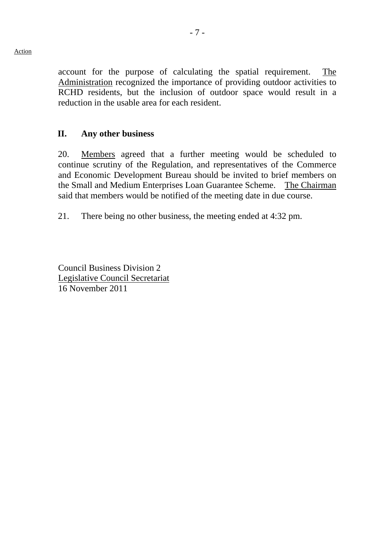account for the purpose of calculating the spatial requirement. The Administration recognized the importance of providing outdoor activities to RCHD residents, but the inclusion of outdoor space would result in a reduction in the usable area for each resident.

#### **II. Any other business**

20. Members agreed that a further meeting would be scheduled to continue scrutiny of the Regulation, and representatives of the Commerce and Economic Development Bureau should be invited to brief members on the Small and Medium Enterprises Loan Guarantee Scheme. The Chairman said that members would be notified of the meeting date in due course.

21. There being no other business, the meeting ended at 4:32 pm.

Council Business Division 2 Legislative Council Secretariat 16 November 2011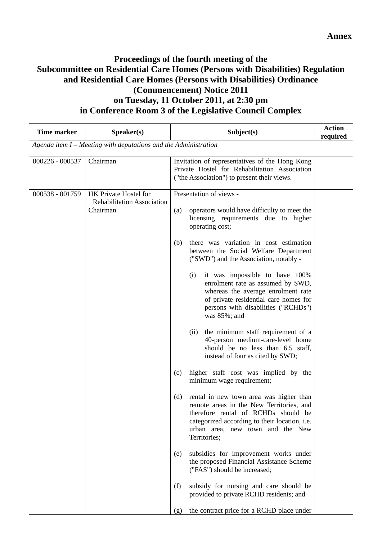### **Proceedings of the fourth meeting of the Subcommittee on Residential Care Homes (Persons with Disabilities) Regulation and Residential Care Homes (Persons with Disabilities) Ordinance (Commencement) Notice 2011 on Tuesday, 11 October 2011, at 2:30 pm in Conference Room 3 of the Legislative Council Complex**

| <b>Time marker</b> | Speaker(s)                                                             | Subject(s)                                                                                                                                                                                                                                                                                                                                                                                                                                                                                                                                                                                                                                                                                                                                                                                                                                                                                                                                                                                                                                                                                                                                                                                                    | <b>Action</b><br>required |
|--------------------|------------------------------------------------------------------------|---------------------------------------------------------------------------------------------------------------------------------------------------------------------------------------------------------------------------------------------------------------------------------------------------------------------------------------------------------------------------------------------------------------------------------------------------------------------------------------------------------------------------------------------------------------------------------------------------------------------------------------------------------------------------------------------------------------------------------------------------------------------------------------------------------------------------------------------------------------------------------------------------------------------------------------------------------------------------------------------------------------------------------------------------------------------------------------------------------------------------------------------------------------------------------------------------------------|---------------------------|
|                    | Agenda item $I$ – Meeting with deputations and the Administration      |                                                                                                                                                                                                                                                                                                                                                                                                                                                                                                                                                                                                                                                                                                                                                                                                                                                                                                                                                                                                                                                                                                                                                                                                               |                           |
| 000226 - 000537    | Chairman                                                               | Invitation of representatives of the Hong Kong<br>Private Hostel for Rehabilitation Association<br>("the Association") to present their views.                                                                                                                                                                                                                                                                                                                                                                                                                                                                                                                                                                                                                                                                                                                                                                                                                                                                                                                                                                                                                                                                |                           |
| 000538 - 001759    | HK Private Hostel for<br><b>Rehabilitation Association</b><br>Chairman | Presentation of views -<br>operators would have difficulty to meet the<br>(a)<br>licensing requirements due to higher<br>operating cost;<br>there was variation in cost estimation<br>(b)<br>between the Social Welfare Department<br>("SWD") and the Association, notably -<br>it was impossible to have 100%<br>(i)<br>enrolment rate as assumed by SWD,<br>whereas the average enrolment rate<br>of private residential care homes for<br>persons with disabilities ("RCHDs")<br>was $85\%$ ; and<br>the minimum staff requirement of a<br>(ii)<br>40-person medium-care-level home<br>should be no less than 6.5 staff,<br>instead of four as cited by SWD;<br>higher staff cost was implied by the<br>(c)<br>minimum wage requirement;<br>(d)<br>rental in new town area was higher than<br>remote areas in the New Territories, and<br>therefore rental of RCHDs should be<br>categorized according to their location, i.e.<br>urban area, new town and the New<br>Territories;<br>subsidies for improvement works under<br>(e)<br>the proposed Financial Assistance Scheme<br>("FAS") should be increased;<br>subsidy for nursing and care should be<br>(f)<br>provided to private RCHD residents; and |                           |
|                    |                                                                        | the contract price for a RCHD place under<br>(g)                                                                                                                                                                                                                                                                                                                                                                                                                                                                                                                                                                                                                                                                                                                                                                                                                                                                                                                                                                                                                                                                                                                                                              |                           |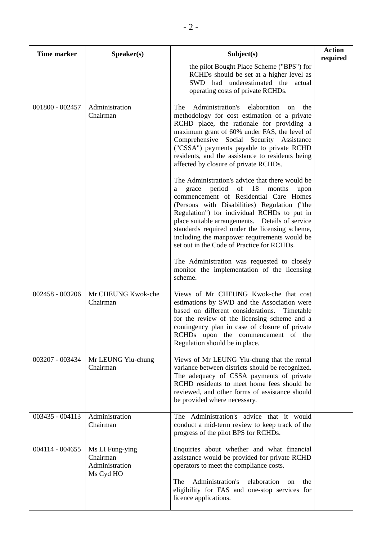| <b>Time marker</b> | Speaker(s)                                                 | Subject(s)                                                                                                                                                                                                                                                                                                                                                                                                                                                                                                                                          | <b>Action</b><br>required |
|--------------------|------------------------------------------------------------|-----------------------------------------------------------------------------------------------------------------------------------------------------------------------------------------------------------------------------------------------------------------------------------------------------------------------------------------------------------------------------------------------------------------------------------------------------------------------------------------------------------------------------------------------------|---------------------------|
|                    |                                                            | the pilot Bought Place Scheme ("BPS") for<br>RCHDs should be set at a higher level as<br>SWD had underestimated the<br>actual<br>operating costs of private RCHDs.                                                                                                                                                                                                                                                                                                                                                                                  |                           |
| 001800 - 002457    | Administration<br>Chairman                                 | Administration's<br>elaboration<br>The<br>the<br><sub>on</sub><br>methodology for cost estimation of a private<br>RCHD place, the rationale for providing a<br>maximum grant of 60% under FAS, the level of<br>Comprehensive Social Security Assistance<br>("CSSA") payments payable to private RCHD<br>residents, and the assistance to residents being<br>affected by closure of private RCHDs.<br>The Administration's advice that there would be<br>period<br>of $18$<br>months<br>grace<br>upon<br>a<br>commencement of Residential Care Homes |                           |
|                    |                                                            | (Persons with Disabilities) Regulation ("the<br>Regulation") for individual RCHDs to put in<br>place suitable arrangements. Details of service<br>standards required under the licensing scheme,<br>including the manpower requirements would be<br>set out in the Code of Practice for RCHDs.<br>The Administration was requested to closely<br>monitor the implementation of the licensing<br>scheme.                                                                                                                                             |                           |
| 002458 - 003206    | Mr CHEUNG Kwok-che<br>Chairman                             | Views of Mr CHEUNG Kwok-che that cost<br>estimations by SWD and the Association were<br>based on different considerations.<br>Timetable<br>for the review of the licensing scheme and a<br>contingency plan in case of closure of private<br>RCHDs upon the commencement of the<br>Regulation should be in place.                                                                                                                                                                                                                                   |                           |
| 003207 - 003434    | Mr LEUNG Yiu-chung<br>Chairman                             | Views of Mr LEUNG Yiu-chung that the rental<br>variance between districts should be recognized.<br>The adequacy of CSSA payments of private<br>RCHD residents to meet home fees should be<br>reviewed, and other forms of assistance should<br>be provided where necessary.                                                                                                                                                                                                                                                                         |                           |
| 003435 - 004113    | Administration<br>Chairman                                 | The Administration's advice that it would<br>conduct a mid-term review to keep track of the<br>progress of the pilot BPS for RCHDs.                                                                                                                                                                                                                                                                                                                                                                                                                 |                           |
| 004114 - 004655    | Ms LI Fung-ying<br>Chairman<br>Administration<br>Ms Cyd HO | Enquiries about whether and what financial<br>assistance would be provided for private RCHD<br>operators to meet the compliance costs.<br>Administration's<br>elaboration<br>The<br>the<br><sub>on</sub><br>eligibility for FAS and one-stop services for<br>licence applications.                                                                                                                                                                                                                                                                  |                           |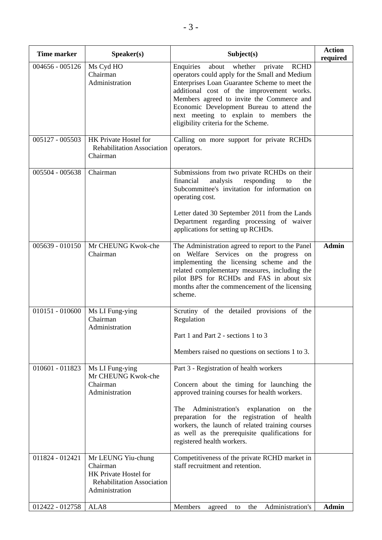| <b>Time marker</b> | Speaker(s)                                                                                                     | Subject(s)                                                                                                                                                                                                                                                                                                                                                                          | <b>Action</b><br>required |
|--------------------|----------------------------------------------------------------------------------------------------------------|-------------------------------------------------------------------------------------------------------------------------------------------------------------------------------------------------------------------------------------------------------------------------------------------------------------------------------------------------------------------------------------|---------------------------|
| $004656 - 005126$  | Ms Cyd HO<br>Chairman<br>Administration                                                                        | Enquiries<br>about<br>private<br><b>RCHD</b><br>whether<br>operators could apply for the Small and Medium<br>Enterprises Loan Guarantee Scheme to meet the<br>additional cost of the improvement works.<br>Members agreed to invite the Commerce and<br>Economic Development Bureau to attend the<br>next meeting to explain to members the<br>eligibility criteria for the Scheme. |                           |
| 005127 - 005503    | HK Private Hostel for<br><b>Rehabilitation Association</b><br>Chairman                                         | Calling on more support for private RCHDs<br>operators.                                                                                                                                                                                                                                                                                                                             |                           |
| 005504 - 005638    | Chairman                                                                                                       | Submissions from two private RCHDs on their<br>financial<br>analysis<br>responding<br>to<br>the<br>Subcommittee's invitation for information on<br>operating cost.<br>Letter dated 30 September 2011 from the Lands<br>Department regarding processing of waiver<br>applications for setting up RCHDs.                                                                              |                           |
| $005639 - 010150$  | Mr CHEUNG Kwok-che<br>Chairman                                                                                 | The Administration agreed to report to the Panel<br>on Welfare Services on the progress on<br>implementing the licensing scheme and the<br>related complementary measures, including the<br>pilot BPS for RCHDs and FAS in about six<br>months after the commencement of the licensing<br>scheme.                                                                                   | <b>Admin</b>              |
| $010151 - 010600$  | Ms LI Fung-ying<br>Chairman<br>Administration                                                                  | Scrutiny of the detailed provisions of the<br>Regulation<br>Part 1 and Part 2 - sections 1 to 3<br>Members raised no questions on sections 1 to 3.                                                                                                                                                                                                                                  |                           |
| $010601 - 011823$  | Ms LI Fung-ying<br>Mr CHEUNG Kwok-che<br>Chairman<br>Administration                                            | Part 3 - Registration of health workers<br>Concern about the timing for launching the<br>approved training courses for health workers.<br>Administration's explanation on<br>The<br>the<br>preparation for the registration of health<br>workers, the launch of related training courses<br>as well as the prerequisite qualifications for<br>registered health workers.            |                           |
| 011824 - 012421    | Mr LEUNG Yiu-chung<br>Chairman<br>HK Private Hostel for<br><b>Rehabilitation Association</b><br>Administration | Competitiveness of the private RCHD market in<br>staff recruitment and retention.                                                                                                                                                                                                                                                                                                   |                           |
| 012422 - 012758    | ALA8                                                                                                           | Members<br>Administration's<br>agreed<br>the<br>to                                                                                                                                                                                                                                                                                                                                  | <b>Admin</b>              |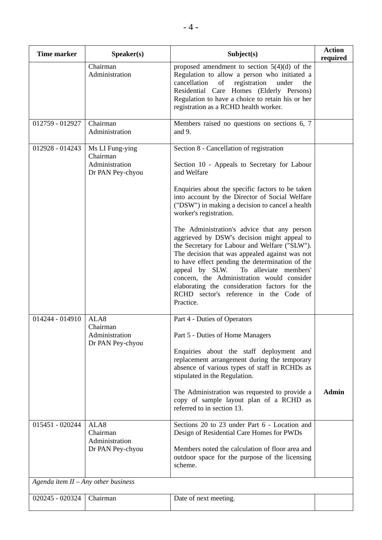| <b>Time marker</b>                    | Speaker(s)                                                        | Subject(s)                                                                                                                                                                                                                                                                                                                                                                                                                                     | <b>Action</b><br>required |
|---------------------------------------|-------------------------------------------------------------------|------------------------------------------------------------------------------------------------------------------------------------------------------------------------------------------------------------------------------------------------------------------------------------------------------------------------------------------------------------------------------------------------------------------------------------------------|---------------------------|
|                                       | Chairman<br>Administration                                        | proposed amendment to section $5(4)(d)$ of the<br>Regulation to allow a person who initiated a<br>of<br>registration<br>cancellation<br>under<br>the<br>Residential Care Homes (Elderly Persons)<br>Regulation to have a choice to retain his or her<br>registration as a RCHD health worker.                                                                                                                                                  |                           |
| 012759 - 012927                       | Chairman<br>Administration                                        | Members raised no questions on sections 6, 7<br>and 9.                                                                                                                                                                                                                                                                                                                                                                                         |                           |
| 012928 - 014243                       | Ms LI Fung-ying<br>Chairman<br>Administration<br>Dr PAN Pey-chyou | Section 8 - Cancellation of registration<br>Section 10 - Appeals to Secretary for Labour<br>and Welfare<br>Enquiries about the specific factors to be taken<br>into account by the Director of Social Welfare<br>("DSW") in making a decision to cancel a health<br>worker's registration.                                                                                                                                                     |                           |
|                                       |                                                                   | The Administration's advice that any person<br>aggrieved by DSW's decision might appeal to<br>the Secretary for Labour and Welfare ("SLW").<br>The decision that was appealed against was not<br>to have effect pending the determination of the<br>appeal by SLW. To alleviate members'<br>concern, the Administration would consider<br>elaborating the consideration factors for the<br>RCHD sector's reference in the Code of<br>Practice. |                           |
| 014244 - 014910                       | ALA8<br>Chairman<br>Administration<br>Dr PAN Pey-chyou            | Part 4 - Duties of Operators<br>Part 5 - Duties of Home Managers<br>Enquiries about the staff deployment and<br>replacement arrangement during the temporary<br>absence of various types of staff in RCHDs as<br>stipulated in the Regulation.<br>The Administration was requested to provide a<br>copy of sample layout plan of a RCHD as<br>referred to in section 13.                                                                       | <b>Admin</b>              |
| $015451 - 020244$                     | ALA8<br>Chairman<br>Administration<br>Dr PAN Pey-chyou            | Sections 20 to 23 under Part 6 - Location and<br>Design of Residential Care Homes for PWDs<br>Members noted the calculation of floor area and<br>outdoor space for the purpose of the licensing<br>scheme.                                                                                                                                                                                                                                     |                           |
| Agenda item $II - Any$ other business |                                                                   |                                                                                                                                                                                                                                                                                                                                                                                                                                                |                           |
| 020245 - 020324                       | Chairman                                                          | Date of next meeting.                                                                                                                                                                                                                                                                                                                                                                                                                          |                           |